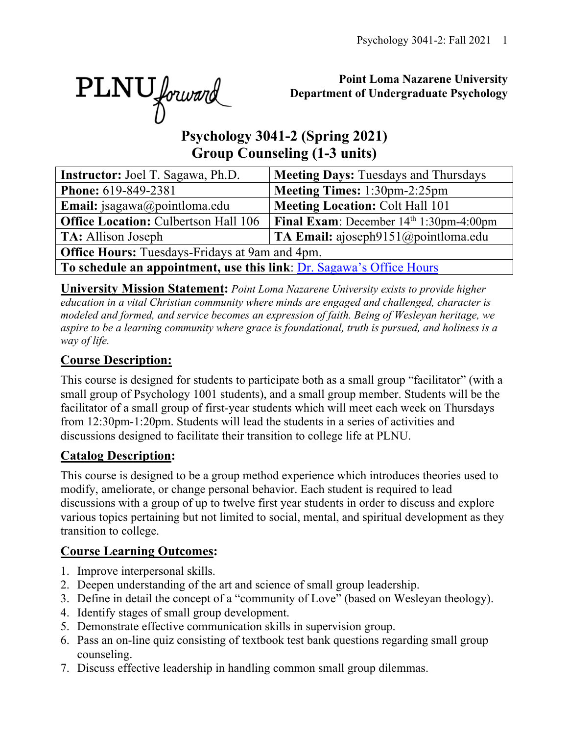PLNU forward

## **Point Loma Nazarene University Department of Undergraduate Psychology**

# **Psychology 3041-2 (Spring 2021) Group Counseling (1-3 units)**

| <b>Instructor:</b> Joel T. Sagawa, Ph.D.                             | <b>Meeting Days: Tuesdays and Thursdays</b>       |  |  |  |  |  |  |
|----------------------------------------------------------------------|---------------------------------------------------|--|--|--|--|--|--|
| Phone: 619-849-2381                                                  | Meeting Times: 1:30pm-2:25pm                      |  |  |  |  |  |  |
| Email: jsagawa@pointloma.edu                                         | <b>Meeting Location: Colt Hall 101</b>            |  |  |  |  |  |  |
| <b>Office Location: Culbertson Hall 106</b>                          | <b>Final Exam:</b> December $14th 1:30$ pm-4:00pm |  |  |  |  |  |  |
| TA: Allison Joseph                                                   | TA Email: ajoseph $9151$ @ pointloma.edu          |  |  |  |  |  |  |
| <b>Office Hours:</b> Tuesdays-Fridays at 9am and 4pm.                |                                                   |  |  |  |  |  |  |
| To schedule an appointment, use this link: Dr. Sagawa's Office Hours |                                                   |  |  |  |  |  |  |

**University Mission Statement:** *Point Loma Nazarene University exists to provide higher education in a vital Christian community where minds are engaged and challenged, character is modeled and formed, and service becomes an expression of faith. Being of Wesleyan heritage, we aspire to be a learning community where grace is foundational, truth is pursued, and holiness is a way of life.*

# **Course Description:**

This course is designed for students to participate both as a small group "facilitator" (with a small group of Psychology 1001 students), and a small group member. Students will be the facilitator of a small group of first-year students which will meet each week on Thursdays from 12:30pm-1:20pm. Students will lead the students in a series of activities and discussions designed to facilitate their transition to college life at PLNU.

## **Catalog Description:**

This course is designed to be a group method experience which introduces theories used to modify, ameliorate, or change personal behavior. Each student is required to lead discussions with a group of up to twelve first year students in order to discuss and explore various topics pertaining but not limited to social, mental, and spiritual development as they transition to college.

## **Course Learning Outcomes:**

- 1. Improve interpersonal skills.
- 2. Deepen understanding of the art and science of small group leadership.
- 3. Define in detail the concept of a "community of Love" (based on Wesleyan theology).
- 4. Identify stages of small group development.
- 5. Demonstrate effective communication skills in supervision group.
- 6. Pass an on-line quiz consisting of textbook test bank questions regarding small group counseling.
- 7. Discuss effective leadership in handling common small group dilemmas.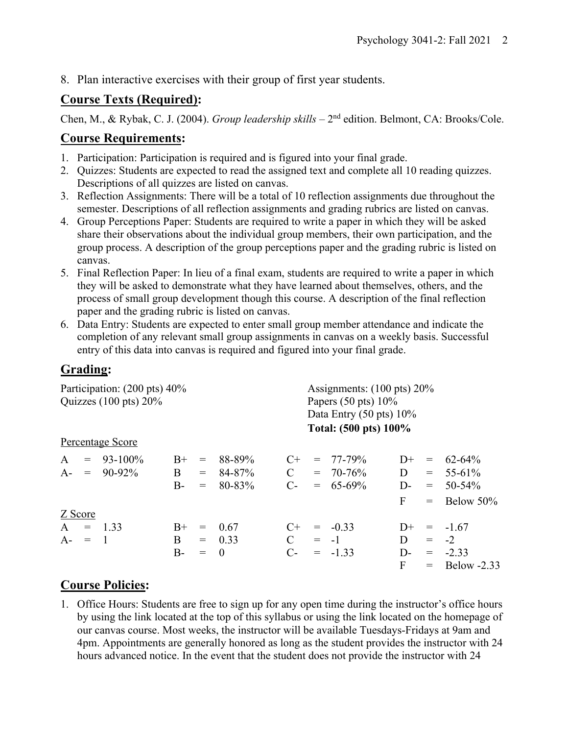8. Plan interactive exercises with their group of first year students.

## **Course Texts (Required):**

Chen, M., & Rybak, C. J. (2004). *Group leadership skills* – 2<sup>nd</sup> edition. Belmont, CA: Brooks/Cole.

## **Course Requirements:**

- 1. Participation: Participation is required and is figured into your final grade.
- 2. Quizzes: Students are expected to read the assigned text and complete all 10 reading quizzes. Descriptions of all quizzes are listed on canvas.
- 3. Reflection Assignments: There will be a total of 10 reflection assignments due throughout the semester. Descriptions of all reflection assignments and grading rubrics are listed on canvas.
- 4. Group Perceptions Paper: Students are required to write a paper in which they will be asked share their observations about the individual group members, their own participation, and the group process. A description of the group perceptions paper and the grading rubric is listed on canvas.
- 5. Final Reflection Paper: In lieu of a final exam, students are required to write a paper in which they will be asked to demonstrate what they have learned about themselves, others, and the process of small group development though this course. A description of the final reflection paper and the grading rubric is listed on canvas.
- 6. Data Entry: Students are expected to enter small group member attendance and indicate the completion of any relevant small group assignments in canvas on a weekly basis. Successful entry of this data into canvas is required and figured into your final grade.

## **Grading:**

| Participation: (200 pts) 40%<br>Quizzes $(100 \text{ pts}) 20\%$ |                                   |                    |                   |                                      |                              | Assignments: $(100 \text{ pts}) 20\%$<br>Papers $(50 \text{ pts}) 10\%$<br>Data Entry $(50 \text{ pts}) 10\%$<br>Total: (500 pts) 100% |                                               |                                 |                                                   |                                                   |  |
|------------------------------------------------------------------|-----------------------------------|--------------------|-------------------|--------------------------------------|------------------------------|----------------------------------------------------------------------------------------------------------------------------------------|-----------------------------------------------|---------------------------------|---------------------------------------------------|---------------------------------------------------|--|
| Percentage Score                                                 |                                   |                    |                   |                                      |                              |                                                                                                                                        |                                               |                                 |                                                   |                                                   |  |
| $\mathsf{A}$                                                     | $= 93 - 100\%$<br>$A - = 90-92\%$ | $B+$<br>B<br>$B -$ | $=$<br>$=$<br>$=$ | 88-89%<br>84-87%<br>80-83%           | $C+$<br>$\mathbf C$<br>$C$ - |                                                                                                                                        | $= 77 - 79\%$<br>$= 70 - 76\%$<br>$= 65-69\%$ | $D+$<br>D<br>$D-$<br>F          | $\displaystyle \qquad \qquad =$<br>$=$ $-$<br>$=$ | 62-64%<br>$= 55-61\%$<br>$50 - 54\%$<br>Below 50% |  |
| Z Score<br>$A = 1.33$<br>$A - =$                                 | $\blacksquare$                    | $B+$<br>B.<br>$B-$ | $=$<br>$=$        | - 0.67<br>$= 0.33$<br>$\overline{0}$ | $C+$<br>$\mathbf C$<br>$C-$  | $= -1$                                                                                                                                 | $= -0.33$<br>$= -1.33$                        | $D+$<br>D<br>D-<br>$\mathbf{F}$ | $=$                                               | $= -1.67$<br>$-2$<br>$= -2.33$<br>$=$ Below -2.33 |  |

## **Course Policies:**

1. Office Hours: Students are free to sign up for any open time during the instructor's office hours by using the link located at the top of this syllabus or using the link located on the homepage of our canvas course. Most weeks, the instructor will be available Tuesdays-Fridays at 9am and 4pm. Appointments are generally honored as long as the student provides the instructor with 24 hours advanced notice. In the event that the student does not provide the instructor with 24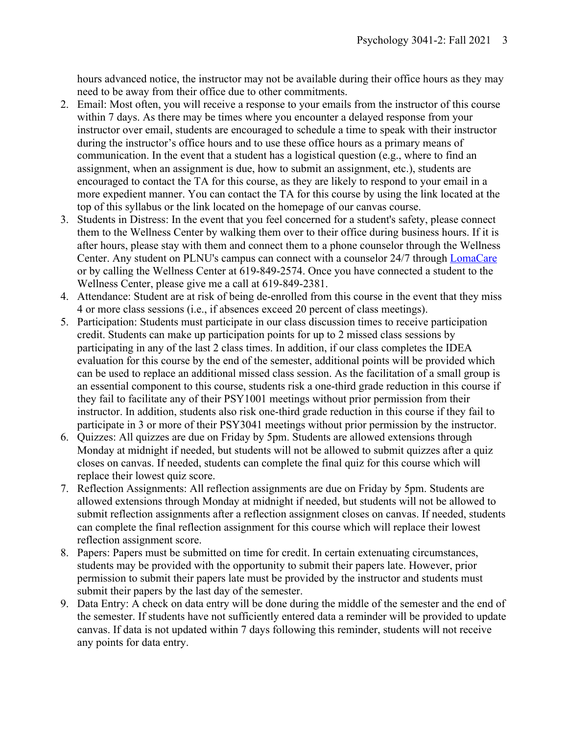hours advanced notice, the instructor may not be available during their office hours as they may need to be away from their office due to other commitments.

- 2. Email: Most often, you will receive a response to your emails from the instructor of this course within 7 days. As there may be times where you encounter a delayed response from your instructor over email, students are encouraged to schedule a time to speak with their instructor during the instructor's office hours and to use these office hours as a primary means of communication. In the event that a student has a logistical question (e.g., where to find an assignment, when an assignment is due, how to submit an assignment, etc.), students are encouraged to contact the TA for this course, as they are likely to respond to your email in a more expedient manner. You can contact the TA for this course by using the link located at the top of this syllabus or the link located on the homepage of our canvas course.
- 3. Students in Distress: In the event that you feel concerned for a student's safety, please connect them to the Wellness Center by walking them over to their office during business hours. If it is after hours, please stay with them and connect them to a phone counselor through the Wellness Center. Any student on PLNU's campus can connect with a counselor 24/7 through **LomaCare** or by calling the Wellness Center at 619-849-2574. Once you have connected a student to the Wellness Center, please give me a call at 619-849-2381.
- 4. Attendance: Student are at risk of being de-enrolled from this course in the event that they miss 4 or more class sessions (i.e., if absences exceed 20 percent of class meetings).
- 5. Participation: Students must participate in our class discussion times to receive participation credit. Students can make up participation points for up to 2 missed class sessions by participating in any of the last 2 class times. In addition, if our class completes the IDEA evaluation for this course by the end of the semester, additional points will be provided which can be used to replace an additional missed class session. As the facilitation of a small group is an essential component to this course, students risk a one-third grade reduction in this course if they fail to facilitate any of their PSY1001 meetings without prior permission from their instructor. In addition, students also risk one-third grade reduction in this course if they fail to participate in 3 or more of their PSY3041 meetings without prior permission by the instructor.
- 6. Quizzes: All quizzes are due on Friday by 5pm. Students are allowed extensions through Monday at midnight if needed, but students will not be allowed to submit quizzes after a quiz closes on canvas. If needed, students can complete the final quiz for this course which will replace their lowest quiz score.
- 7. Reflection Assignments: All reflection assignments are due on Friday by 5pm. Students are allowed extensions through Monday at midnight if needed, but students will not be allowed to submit reflection assignments after a reflection assignment closes on canvas. If needed, students can complete the final reflection assignment for this course which will replace their lowest reflection assignment score.
- 8. Papers: Papers must be submitted on time for credit. In certain extenuating circumstances, students may be provided with the opportunity to submit their papers late. However, prior permission to submit their papers late must be provided by the instructor and students must submit their papers by the last day of the semester.
- 9. Data Entry: A check on data entry will be done during the middle of the semester and the end of the semester. If students have not sufficiently entered data a reminder will be provided to update canvas. If data is not updated within 7 days following this reminder, students will not receive any points for data entry.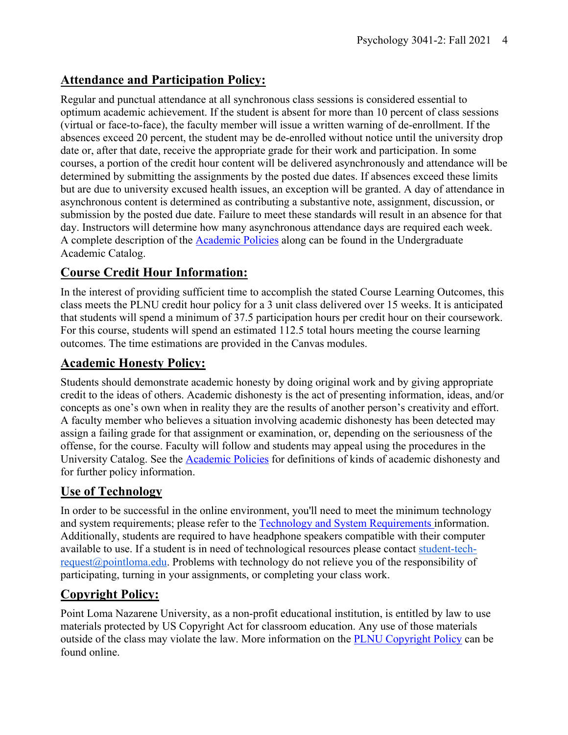# **Attendance and Participation Policy:**

Regular and punctual attendance at all synchronous class sessions is considered essential to optimum academic achievement. If the student is absent for more than 10 percent of class sessions (virtual or face-to-face), the faculty member will issue a written warning of de-enrollment. If the absences exceed 20 percent, the student may be de-enrolled without notice until the university drop date or, after that date, receive the appropriate grade for their work and participation. In some courses, a portion of the credit hour content will be delivered asynchronously and attendance will be determined by submitting the assignments by the posted due dates. If absences exceed these limits but are due to university excused health issues, an exception will be granted. A day of attendance in asynchronous content is determined as contributing a substantive note, assignment, discussion, or submission by the posted due date. Failure to meet these standards will result in an absence for that day. Instructors will determine how many asynchronous attendance days are required each week. A complete description of the Academic Policies along can be found in the Undergraduate Academic Catalog.

## **Course Credit Hour Information:**

In the interest of providing sufficient time to accomplish the stated Course Learning Outcomes, this class meets the PLNU credit hour policy for a 3 unit class delivered over 15 weeks. It is anticipated that students will spend a minimum of 37.5 participation hours per credit hour on their coursework. For this course, students will spend an estimated 112.5 total hours meeting the course learning outcomes. The time estimations are provided in the Canvas modules.

## **Academic Honesty Policy:**

Students should demonstrate academic honesty by doing original work and by giving appropriate credit to the ideas of others. Academic dishonesty is the act of presenting information, ideas, and/or concepts as one's own when in reality they are the results of another person's creativity and effort. A faculty member who believes a situation involving academic dishonesty has been detected may assign a failing grade for that assignment or examination, or, depending on the seriousness of the offense, for the course. Faculty will follow and students may appeal using the procedures in the University Catalog. See the **Academic Policies** for definitions of kinds of academic dishonesty and for further policy information.

## **Use of Technology**

In order to be successful in the online environment, you'll need to meet the minimum technology and system requirements; please refer to the Technology and System Requirements information. Additionally, students are required to have headphone speakers compatible with their computer available to use. If a student is in need of technological resources please contact student-techrequest@pointloma.edu. Problems with technology do not relieve you of the responsibility of participating, turning in your assignments, or completing your class work.

## **Copyright Policy:**

Point Loma Nazarene University, as a non-profit educational institution, is entitled by law to use materials protected by US Copyright Act for classroom education. Any use of those materials outside of the class may violate the law. More information on the PLNU Copyright Policy can be found online.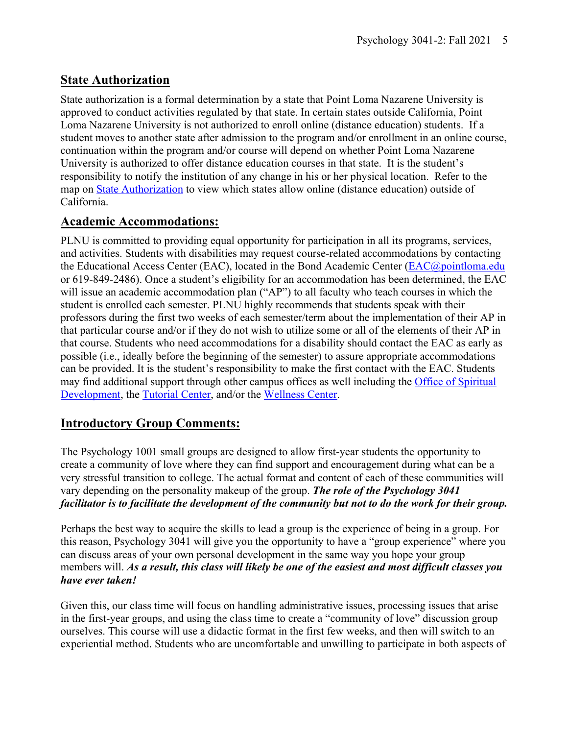## **State Authorization**

State authorization is a formal determination by a state that Point Loma Nazarene University is approved to conduct activities regulated by that state. In certain states outside California, Point Loma Nazarene University is not authorized to enroll online (distance education) students. If a student moves to another state after admission to the program and/or enrollment in an online course, continuation within the program and/or course will depend on whether Point Loma Nazarene University is authorized to offer distance education courses in that state. It is the student's responsibility to notify the institution of any change in his or her physical location. Refer to the map on State Authorization to view which states allow online (distance education) outside of California.

# **Academic Accommodations:**

PLNU is committed to providing equal opportunity for participation in all its programs, services, and activities. Students with disabilities may request course-related accommodations by contacting the Educational Access Center (EAC), located in the Bond Academic Center (EAC@pointloma.edu or 619-849-2486). Once a student's eligibility for an accommodation has been determined, the EAC will issue an academic accommodation plan ("AP") to all faculty who teach courses in which the student is enrolled each semester. PLNU highly recommends that students speak with their professors during the first two weeks of each semester/term about the implementation of their AP in that particular course and/or if they do not wish to utilize some or all of the elements of their AP in that course. Students who need accommodations for a disability should contact the EAC as early as possible (i.e., ideally before the beginning of the semester) to assure appropriate accommodations can be provided. It is the student's responsibility to make the first contact with the EAC. Students may find additional support through other campus offices as well including the Office of Spiritual Development, the Tutorial Center, and/or the Wellness Center.

# **Introductory Group Comments:**

The Psychology 1001 small groups are designed to allow first-year students the opportunity to create a community of love where they can find support and encouragement during what can be a very stressful transition to college. The actual format and content of each of these communities will vary depending on the personality makeup of the group. *The role of the Psychology 3041 facilitator is to facilitate the development of the community but not to do the work for their group.*

Perhaps the best way to acquire the skills to lead a group is the experience of being in a group. For this reason, Psychology 3041 will give you the opportunity to have a "group experience" where you can discuss areas of your own personal development in the same way you hope your group members will. *As a result, this class will likely be one of the easiest and most difficult classes you have ever taken!*

Given this, our class time will focus on handling administrative issues, processing issues that arise in the first-year groups, and using the class time to create a "community of love" discussion group ourselves. This course will use a didactic format in the first few weeks, and then will switch to an experiential method. Students who are uncomfortable and unwilling to participate in both aspects of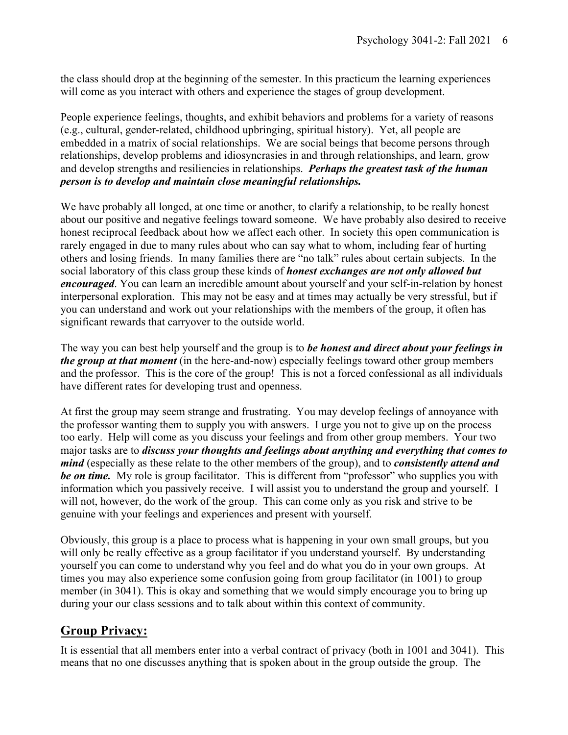the class should drop at the beginning of the semester. In this practicum the learning experiences will come as you interact with others and experience the stages of group development.

People experience feelings, thoughts, and exhibit behaviors and problems for a variety of reasons (e.g., cultural, gender-related, childhood upbringing, spiritual history). Yet, all people are embedded in a matrix of social relationships. We are social beings that become persons through relationships, develop problems and idiosyncrasies in and through relationships, and learn, grow and develop strengths and resiliencies in relationships. *Perhaps the greatest task of the human person is to develop and maintain close meaningful relationships.*

We have probably all longed, at one time or another, to clarify a relationship, to be really honest about our positive and negative feelings toward someone. We have probably also desired to receive honest reciprocal feedback about how we affect each other. In society this open communication is rarely engaged in due to many rules about who can say what to whom, including fear of hurting others and losing friends. In many families there are "no talk" rules about certain subjects. In the social laboratory of this class group these kinds of *honest exchanges are not only allowed but encouraged*. You can learn an incredible amount about yourself and your self-in-relation by honest interpersonal exploration. This may not be easy and at times may actually be very stressful, but if you can understand and work out your relationships with the members of the group, it often has significant rewards that carryover to the outside world.

The way you can best help yourself and the group is to *be honest and direct about your feelings in the group at that moment* (in the here-and-now) especially feelings toward other group members and the professor. This is the core of the group! This is not a forced confessional as all individuals have different rates for developing trust and openness.

At first the group may seem strange and frustrating. You may develop feelings of annoyance with the professor wanting them to supply you with answers. I urge you not to give up on the process too early. Help will come as you discuss your feelings and from other group members. Your two major tasks are to *discuss your thoughts and feelings about anything and everything that comes to mind* (especially as these relate to the other members of the group), and to *consistently attend and be on time.* My role is group facilitator. This is different from "professor" who supplies you with information which you passively receive. I will assist you to understand the group and yourself. I will not, however, do the work of the group. This can come only as you risk and strive to be genuine with your feelings and experiences and present with yourself.

Obviously, this group is a place to process what is happening in your own small groups, but you will only be really effective as a group facilitator if you understand yourself. By understanding yourself you can come to understand why you feel and do what you do in your own groups. At times you may also experience some confusion going from group facilitator (in 1001) to group member (in 3041). This is okay and something that we would simply encourage you to bring up during your our class sessions and to talk about within this context of community.

## **Group Privacy:**

It is essential that all members enter into a verbal contract of privacy (both in 1001 and 3041). This means that no one discusses anything that is spoken about in the group outside the group. The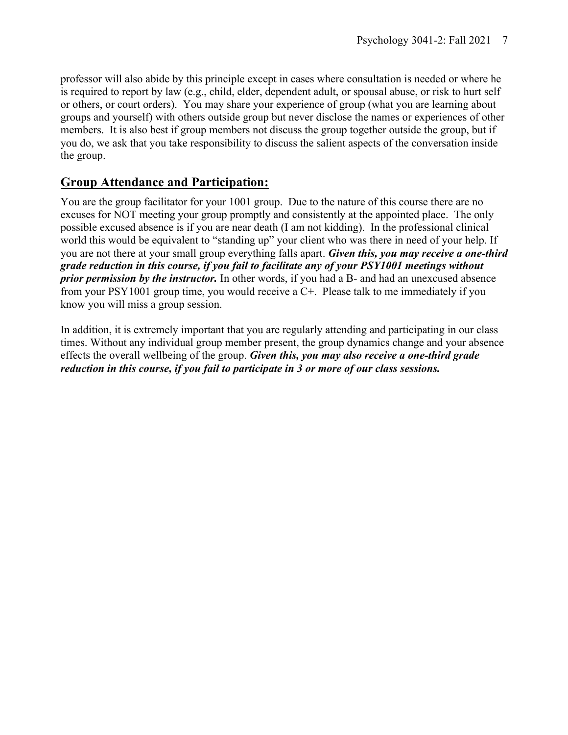professor will also abide by this principle except in cases where consultation is needed or where he is required to report by law (e.g., child, elder, dependent adult, or spousal abuse, or risk to hurt self or others, or court orders). You may share your experience of group (what you are learning about groups and yourself) with others outside group but never disclose the names or experiences of other members. It is also best if group members not discuss the group together outside the group, but if you do, we ask that you take responsibility to discuss the salient aspects of the conversation inside the group.

## **Group Attendance and Participation:**

You are the group facilitator for your 1001 group. Due to the nature of this course there are no excuses for NOT meeting your group promptly and consistently at the appointed place. The only possible excused absence is if you are near death (I am not kidding). In the professional clinical world this would be equivalent to "standing up" your client who was there in need of your help. If you are not there at your small group everything falls apart. *Given this, you may receive a one-third grade reduction in this course, if you fail to facilitate any of your PSY1001 meetings without prior permission by the instructor.* In other words, if you had a B- and had an unexcused absence from your PSY1001 group time, you would receive a C+. Please talk to me immediately if you know you will miss a group session.

In addition, it is extremely important that you are regularly attending and participating in our class times. Without any individual group member present, the group dynamics change and your absence effects the overall wellbeing of the group. *Given this, you may also receive a one-third grade reduction in this course, if you fail to participate in 3 or more of our class sessions.*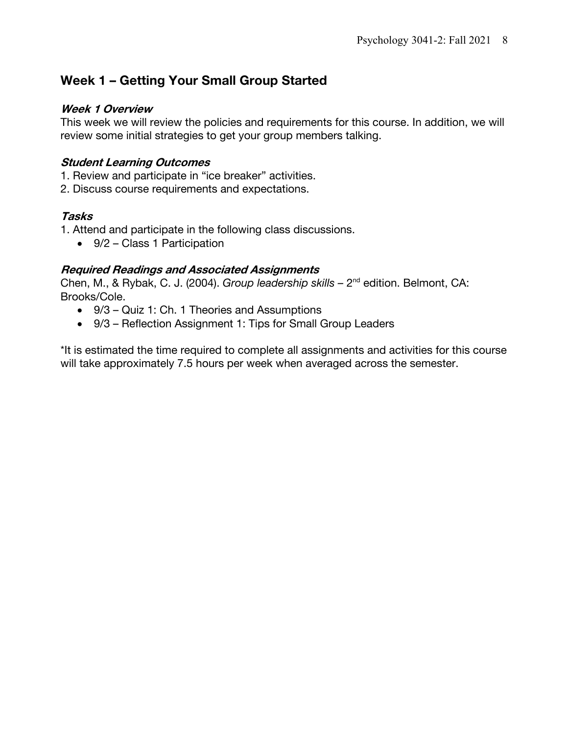# **Week 1 – Getting Your Small Group Started**

#### **Week 1 Overview**

This week we will review the policies and requirements for this course. In addition, we will review some initial strategies to get your group members talking.

## **Student Learning Outcomes**

- 1. Review and participate in "ice breaker" activities.
- 2. Discuss course requirements and expectations.

## **Tasks**

1. Attend and participate in the following class discussions.

• 9/2 – Class 1 Participation

## **Required Readings and Associated Assignments**

Chen, M., & Rybak, C. J. (2004). *Group leadership skills –* 2nd edition. Belmont, CA: Brooks/Cole.

- 9/3 Quiz 1: Ch. 1 Theories and Assumptions
- 9/3 Reflection Assignment 1: Tips for Small Group Leaders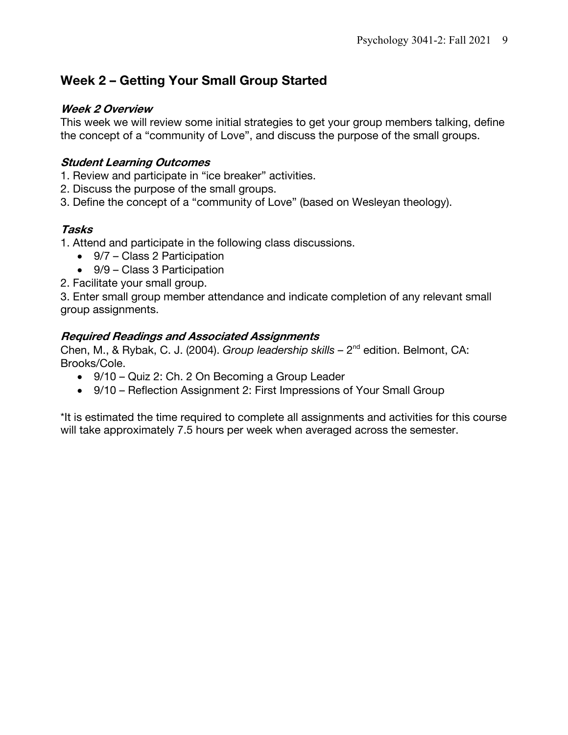# **Week 2 – Getting Your Small Group Started**

#### **Week 2 Overview**

This week we will review some initial strategies to get your group members talking, define the concept of a "community of Love", and discuss the purpose of the small groups.

## **Student Learning Outcomes**

- 1. Review and participate in "ice breaker" activities.
- 2. Discuss the purpose of the small groups.
- 3. Define the concept of a "community of Love" (based on Wesleyan theology).

## **Tasks**

1. Attend and participate in the following class discussions.

- 9/7 Class 2 Participation
- 9/9 Class 3 Participation
- 2. Facilitate your small group.

3. Enter small group member attendance and indicate completion of any relevant small group assignments.

## **Required Readings and Associated Assignments**

Chen, M., & Rybak, C. J. (2004). *Group leadership skills –* 2nd edition. Belmont, CA: Brooks/Cole.

- 9/10 Quiz 2: Ch. 2 On Becoming a Group Leader
- 9/10 Reflection Assignment 2: First Impressions of Your Small Group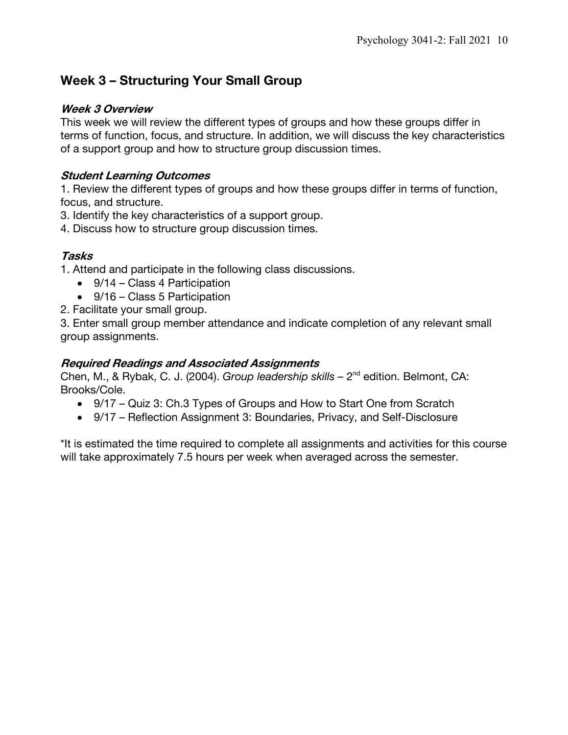# **Week 3 – Structuring Your Small Group**

#### **Week 3 Overview**

This week we will review the different types of groups and how these groups differ in terms of function, focus, and structure. In addition, we will discuss the key characteristics of a support group and how to structure group discussion times.

### **Student Learning Outcomes**

1. Review the different types of groups and how these groups differ in terms of function, focus, and structure.

3. Identify the key characteristics of a support group.

4. Discuss how to structure group discussion times.

## **Tasks**

1. Attend and participate in the following class discussions.

- 9/14 Class 4 Participation
- 9/16 Class 5 Participation
- 2. Facilitate your small group.

3. Enter small group member attendance and indicate completion of any relevant small group assignments.

## **Required Readings and Associated Assignments**

Chen, M., & Rybak, C. J. (2004). *Group leadership skills –* 2nd edition. Belmont, CA: Brooks/Cole.

- 9/17 Quiz 3: Ch.3 Types of Groups and How to Start One from Scratch
- 9/17 Reflection Assignment 3: Boundaries, Privacy, and Self-Disclosure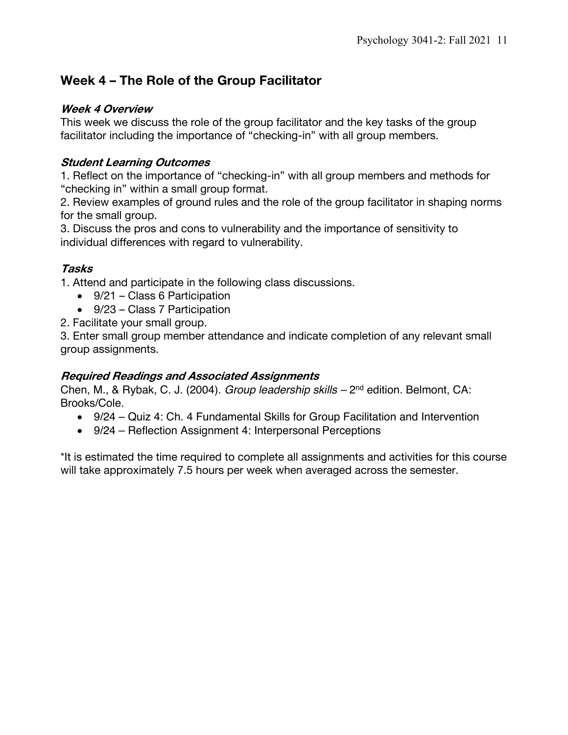# **Week 4 – The Role of the Group Facilitator**

## **Week 4 Overview**

This week we discuss the role of the group facilitator and the key tasks of the group facilitator including the importance of "checking-in" with all group members.

## **Student Learning Outcomes**

1. Reflect on the importance of "checking-in" with all group members and methods for "checking in" within a small group format.

2. Review examples of ground rules and the role of the group facilitator in shaping norms for the small group.

3. Discuss the pros and cons to vulnerability and the importance of sensitivity to individual differences with regard to vulnerability.

## **Tasks**

1. Attend and participate in the following class discussions.

- 9/21 Class 6 Participation
- 9/23 Class 7 Participation
- 2. Facilitate your small group.

3. Enter small group member attendance and indicate completion of any relevant small group assignments.

## **Required Readings and Associated Assignments**

Chen, M., & Rybak, C. J. (2004). *Group leadership skills –* 2nd edition. Belmont, CA: Brooks/Cole.

- 9/24 Quiz 4: Ch. 4 Fundamental Skills for Group Facilitation and Intervention
- 9/24 Reflection Assignment 4: Interpersonal Perceptions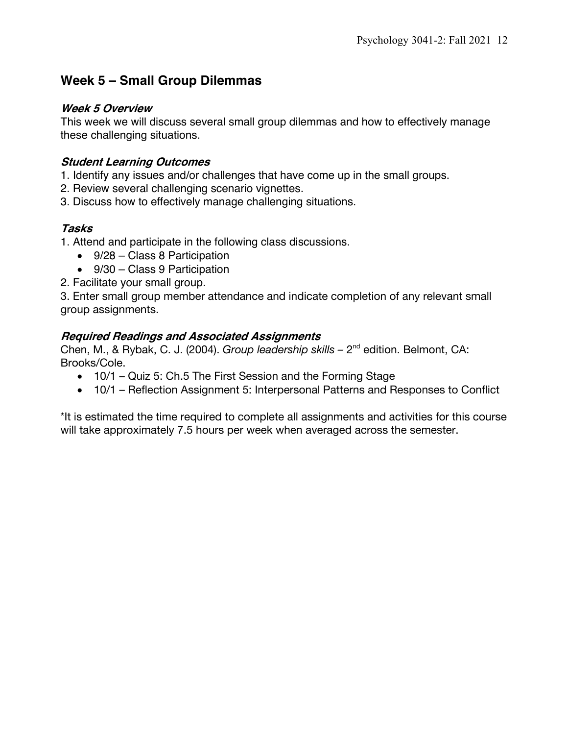# **Week 5 – Small Group Dilemmas**

#### **Week 5 Overview**

This week we will discuss several small group dilemmas and how to effectively manage these challenging situations.

## **Student Learning Outcomes**

- 1. Identify any issues and/or challenges that have come up in the small groups.
- 2. Review several challenging scenario vignettes.
- 3. Discuss how to effectively manage challenging situations.

## **Tasks**

- 1. Attend and participate in the following class discussions.
	- 9/28 Class 8 Participation
	- 9/30 Class 9 Participation
- 2. Facilitate your small group.

3. Enter small group member attendance and indicate completion of any relevant small group assignments.

#### **Required Readings and Associated Assignments**

Chen, M., & Rybak, C. J. (2004). *Group leadership skills –* 2nd edition. Belmont, CA: Brooks/Cole.

- 10/1 Quiz 5: Ch.5 The First Session and the Forming Stage
- 10/1 Reflection Assignment 5: Interpersonal Patterns and Responses to Conflict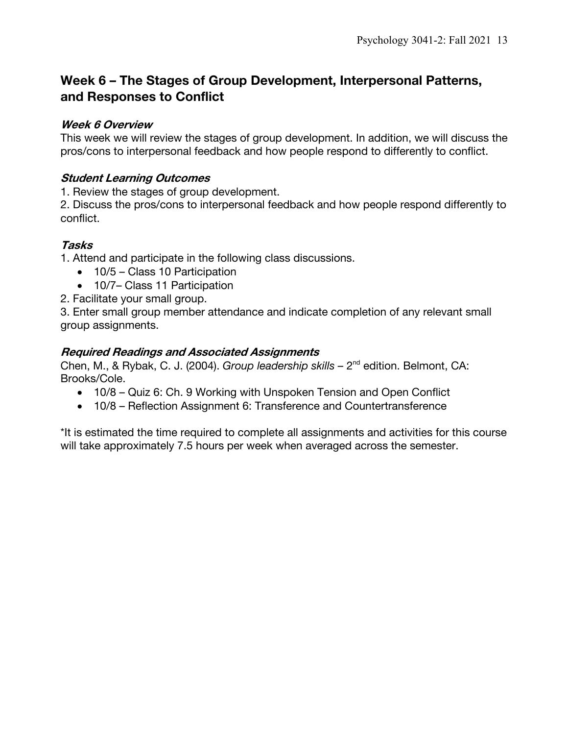# **Week 6 – The Stages of Group Development, Interpersonal Patterns, and Responses to Conflict**

### **Week 6 Overview**

This week we will review the stages of group development. In addition, we will discuss the pros/cons to interpersonal feedback and how people respond to differently to conflict.

## **Student Learning Outcomes**

1. Review the stages of group development.

2. Discuss the pros/cons to interpersonal feedback and how people respond differently to conflict.

## **Tasks**

1. Attend and participate in the following class discussions.

- 10/5 Class 10 Participation
- 10/7– Class 11 Participation

2. Facilitate your small group.

3. Enter small group member attendance and indicate completion of any relevant small group assignments.

## **Required Readings and Associated Assignments**

Chen, M., & Rybak, C. J. (2004). *Group leadership skills –* 2nd edition. Belmont, CA: Brooks/Cole.

- 10/8 Quiz 6: Ch. 9 Working with Unspoken Tension and Open Conflict
- 10/8 Reflection Assignment 6: Transference and Countertransference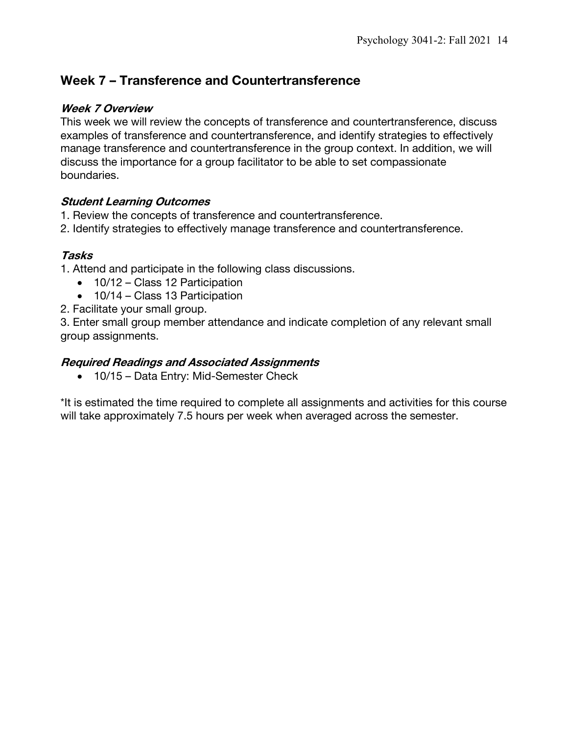# **Week 7 – Transference and Countertransference**

#### **Week 7 Overview**

This week we will review the concepts of transference and countertransference, discuss examples of transference and countertransference, and identify strategies to effectively manage transference and countertransference in the group context. In addition, we will discuss the importance for a group facilitator to be able to set compassionate boundaries.

## **Student Learning Outcomes**

- 1. Review the concepts of transference and countertransference.
- 2. Identify strategies to effectively manage transference and countertransference.

#### **Tasks**

- 1. Attend and participate in the following class discussions.
	- 10/12 Class 12 Participation
	- 10/14 Class 13 Participation
- 2. Facilitate your small group.

3. Enter small group member attendance and indicate completion of any relevant small group assignments.

#### **Required Readings and Associated Assignments**

• 10/15 – Data Entry: Mid-Semester Check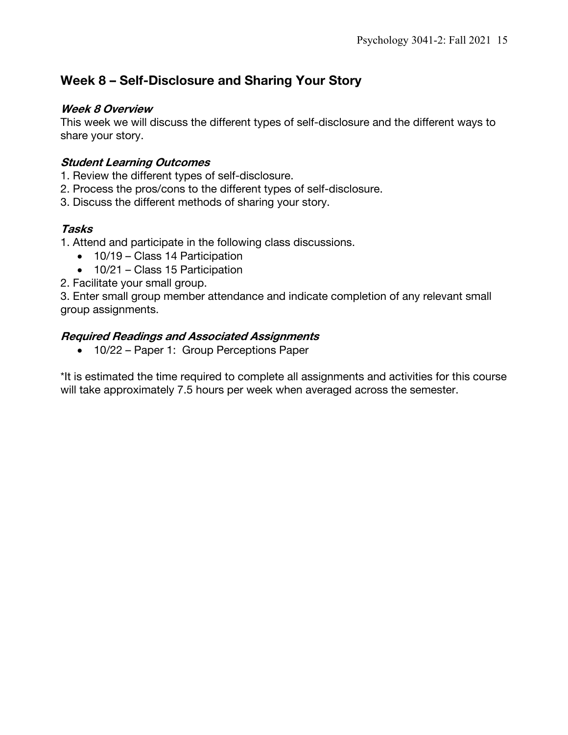# **Week 8 – Self-Disclosure and Sharing Your Story**

#### **Week 8 Overview**

This week we will discuss the different types of self-disclosure and the different ways to share your story.

## **Student Learning Outcomes**

- 1. Review the different types of self-disclosure.
- 2. Process the pros/cons to the different types of self-disclosure.
- 3. Discuss the different methods of sharing your story.

## **Tasks**

1. Attend and participate in the following class discussions.

- 10/19 Class 14 Participation
- 10/21 Class 15 Participation
- 2. Facilitate your small group.

3. Enter small group member attendance and indicate completion of any relevant small group assignments.

## **Required Readings and Associated Assignments**

• 10/22 – Paper 1: Group Perceptions Paper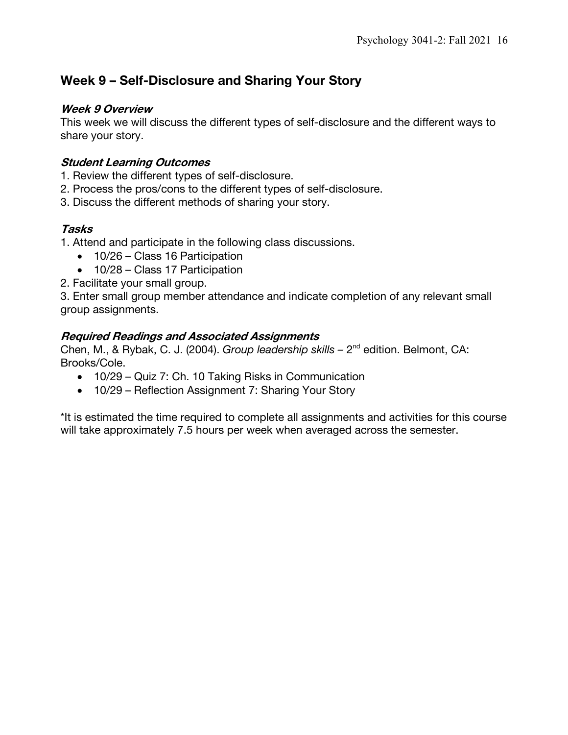# **Week 9 – Self-Disclosure and Sharing Your Story**

#### **Week 9 Overview**

This week we will discuss the different types of self-disclosure and the different ways to share your story.

## **Student Learning Outcomes**

- 1. Review the different types of self-disclosure.
- 2. Process the pros/cons to the different types of self-disclosure.
- 3. Discuss the different methods of sharing your story.

## **Tasks**

1. Attend and participate in the following class discussions.

- 10/26 Class 16 Participation
- 10/28 Class 17 Participation
- 2. Facilitate your small group.

3. Enter small group member attendance and indicate completion of any relevant small group assignments.

## **Required Readings and Associated Assignments**

Chen, M., & Rybak, C. J. (2004). *Group leadership skills –* 2nd edition. Belmont, CA: Brooks/Cole.

- 10/29 Quiz 7: Ch. 10 Taking Risks in Communication
- 10/29 Reflection Assignment 7: Sharing Your Story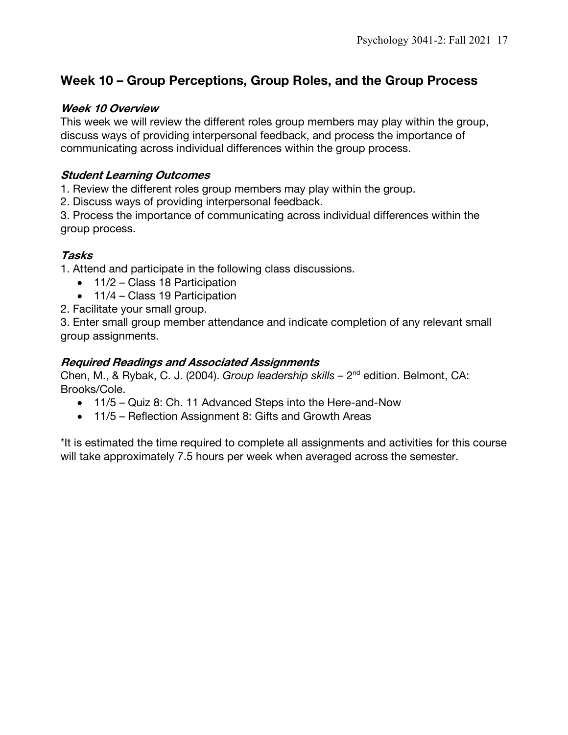# **Week 10 – Group Perceptions, Group Roles, and the Group Process**

#### **Week 10 Overview**

This week we will review the different roles group members may play within the group, discuss ways of providing interpersonal feedback, and process the importance of communicating across individual differences within the group process.

### **Student Learning Outcomes**

1. Review the different roles group members may play within the group.

2. Discuss ways of providing interpersonal feedback.

3. Process the importance of communicating across individual differences within the group process.

## **Tasks**

1. Attend and participate in the following class discussions.

- 11/2 Class 18 Participation
- 11/4 Class 19 Participation
- 2. Facilitate your small group.

3. Enter small group member attendance and indicate completion of any relevant small group assignments.

## **Required Readings and Associated Assignments**

Chen, M., & Rybak, C. J. (2004). *Group leadership skills –* 2nd edition. Belmont, CA: Brooks/Cole.

- 11/5 Quiz 8: Ch. 11 Advanced Steps into the Here-and-Now
- 11/5 Reflection Assignment 8: Gifts and Growth Areas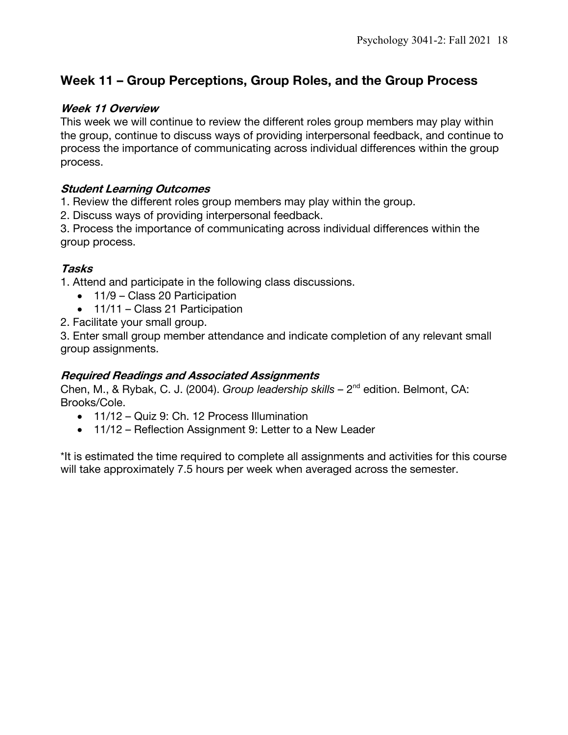# **Week 11 – Group Perceptions, Group Roles, and the Group Process**

#### **Week 11 Overview**

This week we will continue to review the different roles group members may play within the group, continue to discuss ways of providing interpersonal feedback, and continue to process the importance of communicating across individual differences within the group process.

## **Student Learning Outcomes**

1. Review the different roles group members may play within the group.

2. Discuss ways of providing interpersonal feedback.

3. Process the importance of communicating across individual differences within the group process.

## **Tasks**

1. Attend and participate in the following class discussions.

- 11/9 Class 20 Participation
- 11/11 Class 21 Participation
- 2. Facilitate your small group.

3. Enter small group member attendance and indicate completion of any relevant small group assignments.

## **Required Readings and Associated Assignments**

Chen, M., & Rybak, C. J. (2004). *Group leadership skills –* 2nd edition. Belmont, CA: Brooks/Cole.

- 11/12 Quiz 9: Ch. 12 Process Illumination
- 11/12 Reflection Assignment 9: Letter to a New Leader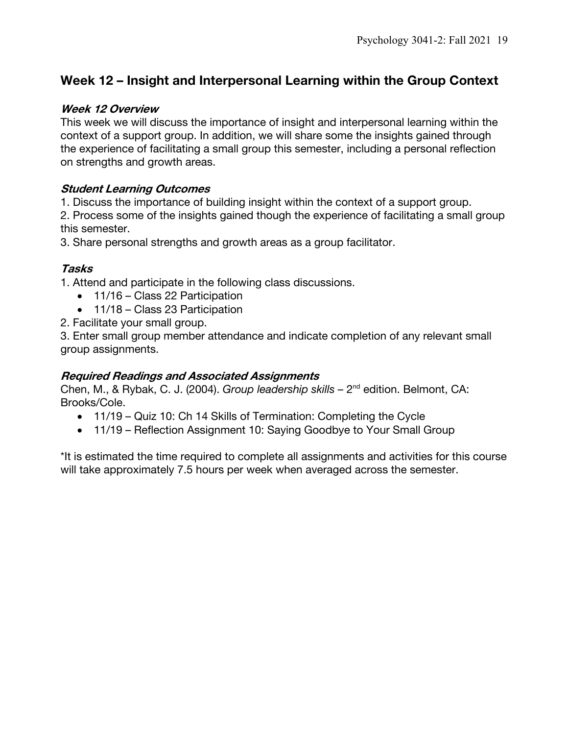# **Week 12 – Insight and Interpersonal Learning within the Group Context**

#### **Week 12 Overview**

This week we will discuss the importance of insight and interpersonal learning within the context of a support group. In addition, we will share some the insights gained through the experience of facilitating a small group this semester, including a personal reflection on strengths and growth areas.

#### **Student Learning Outcomes**

1. Discuss the importance of building insight within the context of a support group.

2. Process some of the insights gained though the experience of facilitating a small group this semester.

3. Share personal strengths and growth areas as a group facilitator.

## **Tasks**

1. Attend and participate in the following class discussions.

- 11/16 Class 22 Participation
- 11/18 Class 23 Participation
- 2. Facilitate your small group.

3. Enter small group member attendance and indicate completion of any relevant small group assignments.

## **Required Readings and Associated Assignments**

Chen, M., & Rybak, C. J. (2004). *Group leadership skills –* 2nd edition. Belmont, CA: Brooks/Cole.

- 11/19 Quiz 10: Ch 14 Skills of Termination: Completing the Cycle
- 11/19 Reflection Assignment 10: Saying Goodbye to Your Small Group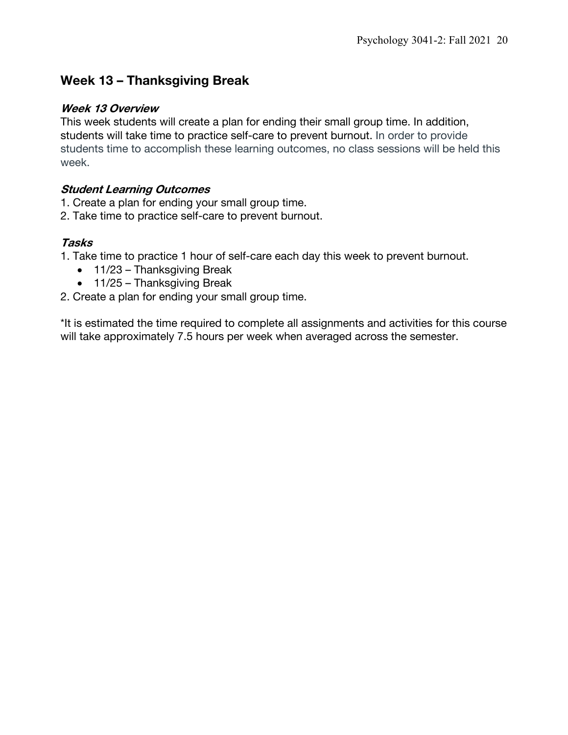# **Week 13 – Thanksgiving Break**

#### **Week 13 Overview**

This week students will create a plan for ending their small group time. In addition, students will take time to practice self-care to prevent burnout. In order to provide students time to accomplish these learning outcomes, no class sessions will be held this week.

## **Student Learning Outcomes**

- 1. Create a plan for ending your small group time.
- 2. Take time to practice self-care to prevent burnout.

## **Tasks**

- 1. Take time to practice 1 hour of self-care each day this week to prevent burnout.
	- 11/23 Thanksgiving Break
	- 11/25 Thanksgiving Break
- 2. Create a plan for ending your small group time.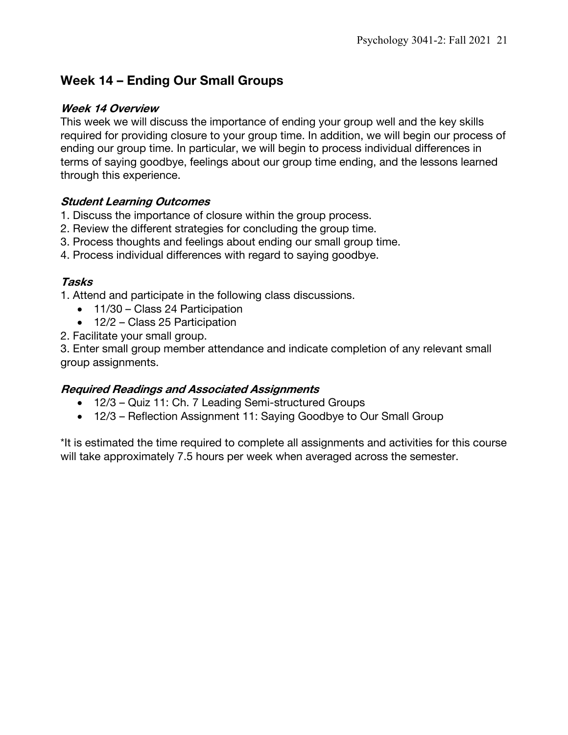# **Week 14 – Ending Our Small Groups**

#### **Week 14 Overview**

This week we will discuss the importance of ending your group well and the key skills required for providing closure to your group time. In addition, we will begin our process of ending our group time. In particular, we will begin to process individual differences in terms of saying goodbye, feelings about our group time ending, and the lessons learned through this experience.

## **Student Learning Outcomes**

- 1. Discuss the importance of closure within the group process.
- 2. Review the different strategies for concluding the group time.
- 3. Process thoughts and feelings about ending our small group time.
- 4. Process individual differences with regard to saying goodbye.

#### **Tasks**

1. Attend and participate in the following class discussions.

- 11/30 Class 24 Participation
- 12/2 Class 25 Participation
- 2. Facilitate your small group.

3. Enter small group member attendance and indicate completion of any relevant small group assignments.

## **Required Readings and Associated Assignments**

- 12/3 Quiz 11: Ch. 7 Leading Semi-structured Groups
- 12/3 Reflection Assignment 11: Saying Goodbye to Our Small Group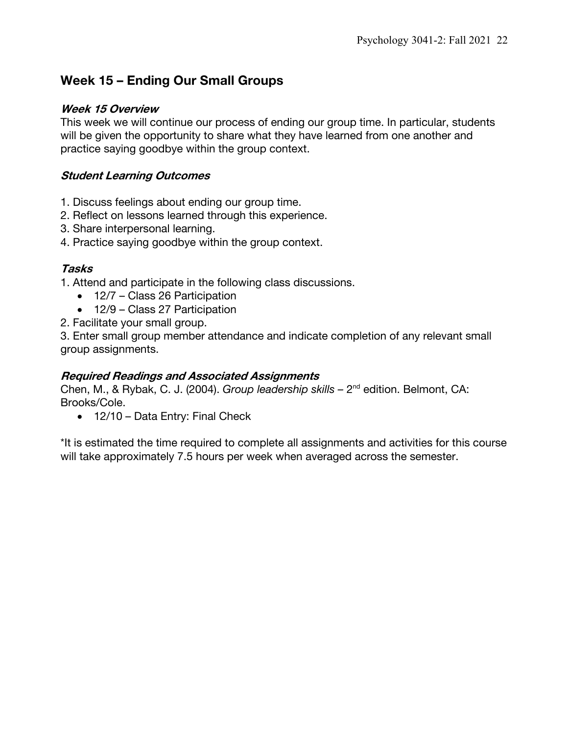# **Week 15 – Ending Our Small Groups**

### **Week 15 Overview**

This week we will continue our process of ending our group time. In particular, students will be given the opportunity to share what they have learned from one another and practice saying goodbye within the group context.

## **Student Learning Outcomes**

- 1. Discuss feelings about ending our group time.
- 2. Reflect on lessons learned through this experience.
- 3. Share interpersonal learning.
- 4. Practice saying goodbye within the group context.

## **Tasks**

1. Attend and participate in the following class discussions.

- 12/7 Class 26 Participation
- 12/9 Class 27 Participation
- 2. Facilitate your small group.

3. Enter small group member attendance and indicate completion of any relevant small group assignments.

## **Required Readings and Associated Assignments**

Chen, M., & Rybak, C. J. (2004). *Group leadership skills –* 2nd edition. Belmont, CA: Brooks/Cole.

• 12/10 – Data Entry: Final Check